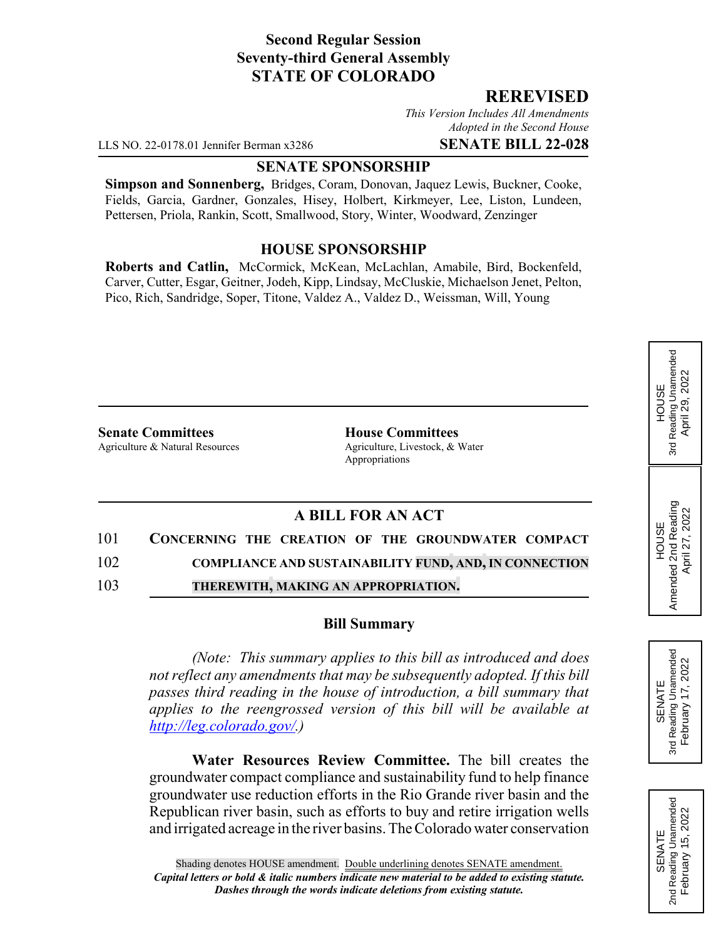## **Second Regular Session Seventy-third General Assembly STATE OF COLORADO**

### **REREVISED**

*This Version Includes All Amendments Adopted in the Second House*

LLS NO. 22-0178.01 Jennifer Berman x3286 **SENATE BILL 22-028**

#### **SENATE SPONSORSHIP**

**Simpson and Sonnenberg,** Bridges, Coram, Donovan, Jaquez Lewis, Buckner, Cooke, Fields, Garcia, Gardner, Gonzales, Hisey, Holbert, Kirkmeyer, Lee, Liston, Lundeen, Pettersen, Priola, Rankin, Scott, Smallwood, Story, Winter, Woodward, Zenzinger

### **HOUSE SPONSORSHIP**

**Roberts and Catlin,** McCormick, McKean, McLachlan, Amabile, Bird, Bockenfeld, Carver, Cutter, Esgar, Geitner, Jodeh, Kipp, Lindsay, McCluskie, Michaelson Jenet, Pelton, Pico, Rich, Sandridge, Soper, Titone, Valdez A., Valdez D., Weissman, Will, Young

**Senate Committees House Committees** 

Agriculture & Natural Resources Agriculture, Livestock, & Water Appropriations

# **A BILL FOR AN ACT**

101 **CONCERNING THE CREATION OF THE GROUNDWATER COMPACT**

102 **COMPLIANCE AND SUSTAINABILITY FUND, AND, IN CONNECTION**

103 **THEREWITH, MAKING AN APPROPRIATION.**

#### **Bill Summary**

*(Note: This summary applies to this bill as introduced and does not reflect any amendments that may be subsequently adopted. If this bill passes third reading in the house of introduction, a bill summary that applies to the reengrossed version of this bill will be available at http://leg.colorado.gov/.)*

**Water Resources Review Committee.** The bill creates the groundwater compact compliance and sustainability fund to help finance groundwater use reduction efforts in the Rio Grande river basin and the Republican river basin, such as efforts to buy and retire irrigation wells and irrigated acreage in the river basins. The Colorado water conservation



HOUSE<br>3rd Reading Unamended<br>April 29, 2022 3rd Reading Unamended April 29, 2022

HOUSE Amended 2nd Reading April 27, 2022

Amended 2nd Reading<br>April 27, 2022

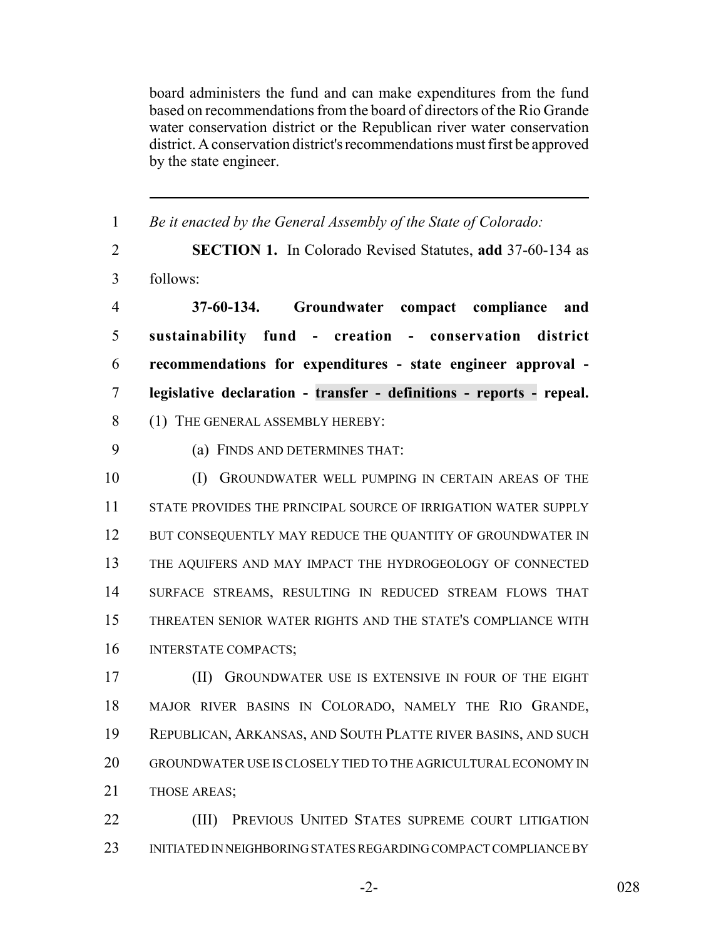board administers the fund and can make expenditures from the fund based on recommendations from the board of directors of the Rio Grande water conservation district or the Republican river water conservation district. A conservation district's recommendations must first be approved by the state engineer.

| $\mathbf{1}$   | Be it enacted by the General Assembly of the State of Colorado:        |
|----------------|------------------------------------------------------------------------|
| $\overline{2}$ | <b>SECTION 1.</b> In Colorado Revised Statutes, add 37-60-134 as       |
| $\overline{3}$ | follows:                                                               |
| $\overline{4}$ | Groundwater compact compliance<br>37-60-134.<br>and                    |
| 5              | sustainability fund - creation - conservation district                 |
| 6              | recommendations for expenditures - state engineer approval -           |
| $\overline{7}$ | legislative declaration - transfer - definitions - reports - repeal.   |
| 8              | (1) THE GENERAL ASSEMBLY HEREBY:                                       |
| 9              | (a) FINDS AND DETERMINES THAT:                                         |
| 10             | (I)<br>GROUNDWATER WELL PUMPING IN CERTAIN AREAS OF THE                |
| 11             | STATE PROVIDES THE PRINCIPAL SOURCE OF IRRIGATION WATER SUPPLY         |
| 12             | BUT CONSEQUENTLY MAY REDUCE THE QUANTITY OF GROUNDWATER IN             |
| 13             | THE AQUIFERS AND MAY IMPACT THE HYDROGEOLOGY OF CONNECTED              |
| 14             | SURFACE STREAMS, RESULTING IN REDUCED STREAM FLOWS THAT                |
| 15             | THREATEN SENIOR WATER RIGHTS AND THE STATE'S COMPLIANCE WITH           |
| 16             | <b>INTERSTATE COMPACTS;</b>                                            |
| 17             | (II)<br>GROUNDWATER USE IS EXTENSIVE IN FOUR OF THE EIGHT              |
| 18             | MAJOR RIVER BASINS IN COLORADO, NAMELY THE RIO GRANDE,                 |
| 19             | REPUBLICAN, ARKANSAS, AND SOUTH PLATTE RIVER BASINS, AND SUCH          |
| 20             | GROUNDWATER USE IS CLOSELY TIED TO THE AGRICULTURAL ECONOMY IN         |
| 21             | THOSE AREAS;                                                           |
| ົ              | $(TII)$ Deputate $I$ burne $C_{T}$ (Figure Supper Goupt Line $(TII)$ ) |

**(III)** PREVIOUS UNITED STATES SUPREME COURT LITIGATION INITIATED IN NEIGHBORING STATES REGARDING COMPACT COMPLIANCE BY

-2- 028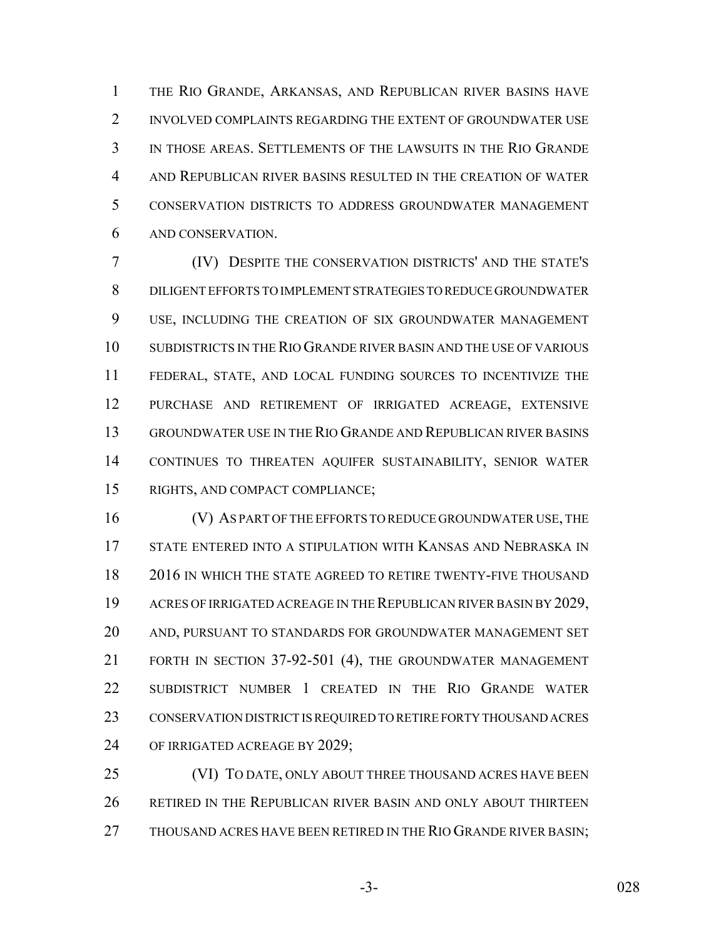THE RIO GRANDE, ARKANSAS, AND REPUBLICAN RIVER BASINS HAVE 2 INVOLVED COMPLAINTS REGARDING THE EXTENT OF GROUNDWATER USE IN THOSE AREAS. SETTLEMENTS OF THE LAWSUITS IN THE RIO GRANDE AND REPUBLICAN RIVER BASINS RESULTED IN THE CREATION OF WATER CONSERVATION DISTRICTS TO ADDRESS GROUNDWATER MANAGEMENT AND CONSERVATION.

 (IV) DESPITE THE CONSERVATION DISTRICTS' AND THE STATE'S DILIGENT EFFORTS TO IMPLEMENT STRATEGIES TO REDUCE GROUNDWATER USE, INCLUDING THE CREATION OF SIX GROUNDWATER MANAGEMENT SUBDISTRICTS IN THE RIO GRANDE RIVER BASIN AND THE USE OF VARIOUS FEDERAL, STATE, AND LOCAL FUNDING SOURCES TO INCENTIVIZE THE PURCHASE AND RETIREMENT OF IRRIGATED ACREAGE, EXTENSIVE GROUNDWATER USE IN THE RIO GRANDE AND REPUBLICAN RIVER BASINS CONTINUES TO THREATEN AQUIFER SUSTAINABILITY, SENIOR WATER RIGHTS, AND COMPACT COMPLIANCE;

 (V) AS PART OF THE EFFORTS TO REDUCE GROUNDWATER USE, THE STATE ENTERED INTO A STIPULATION WITH KANSAS AND NEBRASKA IN 2016 IN WHICH THE STATE AGREED TO RETIRE TWENTY-FIVE THOUSAND 19 ACRES OF IRRIGATED ACREAGE IN THE REPUBLICAN RIVER BASIN BY 2029, AND, PURSUANT TO STANDARDS FOR GROUNDWATER MANAGEMENT SET FORTH IN SECTION 37-92-501 (4), THE GROUNDWATER MANAGEMENT SUBDISTRICT NUMBER 1 CREATED IN THE RIO GRANDE WATER CONSERVATION DISTRICT IS REQUIRED TO RETIRE FORTY THOUSAND ACRES OF IRRIGATED ACREAGE BY 2029;

 (VI) TO DATE, ONLY ABOUT THREE THOUSAND ACRES HAVE BEEN RETIRED IN THE REPUBLICAN RIVER BASIN AND ONLY ABOUT THIRTEEN 27 THOUSAND ACRES HAVE BEEN RETIRED IN THE RIO GRANDE RIVER BASIN;

-3- 028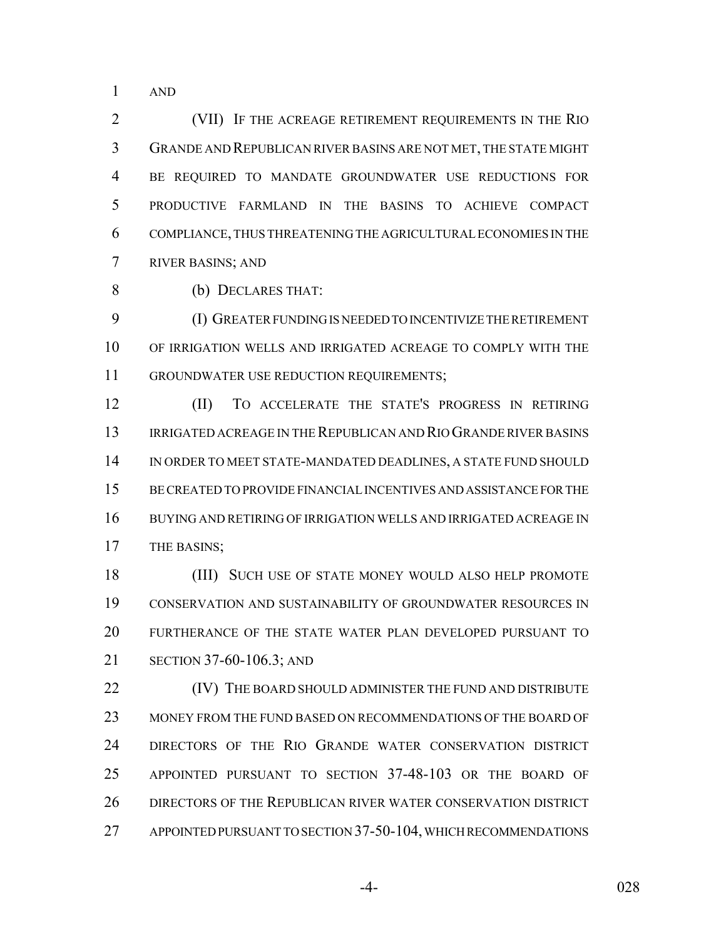AND

 (VII) IF THE ACREAGE RETIREMENT REQUIREMENTS IN THE RIO GRANDE AND REPUBLICAN RIVER BASINS ARE NOT MET, THE STATE MIGHT BE REQUIRED TO MANDATE GROUNDWATER USE REDUCTIONS FOR PRODUCTIVE FARMLAND IN THE BASINS TO ACHIEVE COMPACT COMPLIANCE, THUS THREATENING THE AGRICULTURAL ECONOMIES IN THE RIVER BASINS; AND

(b) DECLARES THAT:

 (I) GREATER FUNDING IS NEEDED TO INCENTIVIZE THE RETIREMENT OF IRRIGATION WELLS AND IRRIGATED ACREAGE TO COMPLY WITH THE GROUNDWATER USE REDUCTION REQUIREMENTS;

 (II) TO ACCELERATE THE STATE'S PROGRESS IN RETIRING IRRIGATED ACREAGE IN THE REPUBLICAN AND RIO GRANDE RIVER BASINS IN ORDER TO MEET STATE-MANDATED DEADLINES, A STATE FUND SHOULD BE CREATED TO PROVIDE FINANCIAL INCENTIVES AND ASSISTANCE FOR THE BUYING AND RETIRING OF IRRIGATION WELLS AND IRRIGATED ACREAGE IN THE BASINS;

18 (III) SUCH USE OF STATE MONEY WOULD ALSO HELP PROMOTE CONSERVATION AND SUSTAINABILITY OF GROUNDWATER RESOURCES IN FURTHERANCE OF THE STATE WATER PLAN DEVELOPED PURSUANT TO SECTION 37-60-106.3; AND

**(IV)** THE BOARD SHOULD ADMINISTER THE FUND AND DISTRIBUTE MONEY FROM THE FUND BASED ON RECOMMENDATIONS OF THE BOARD OF DIRECTORS OF THE RIO GRANDE WATER CONSERVATION DISTRICT APPOINTED PURSUANT TO SECTION 37-48-103 OR THE BOARD OF DIRECTORS OF THE REPUBLICAN RIVER WATER CONSERVATION DISTRICT APPOINTED PURSUANT TO SECTION 37-50-104, WHICH RECOMMENDATIONS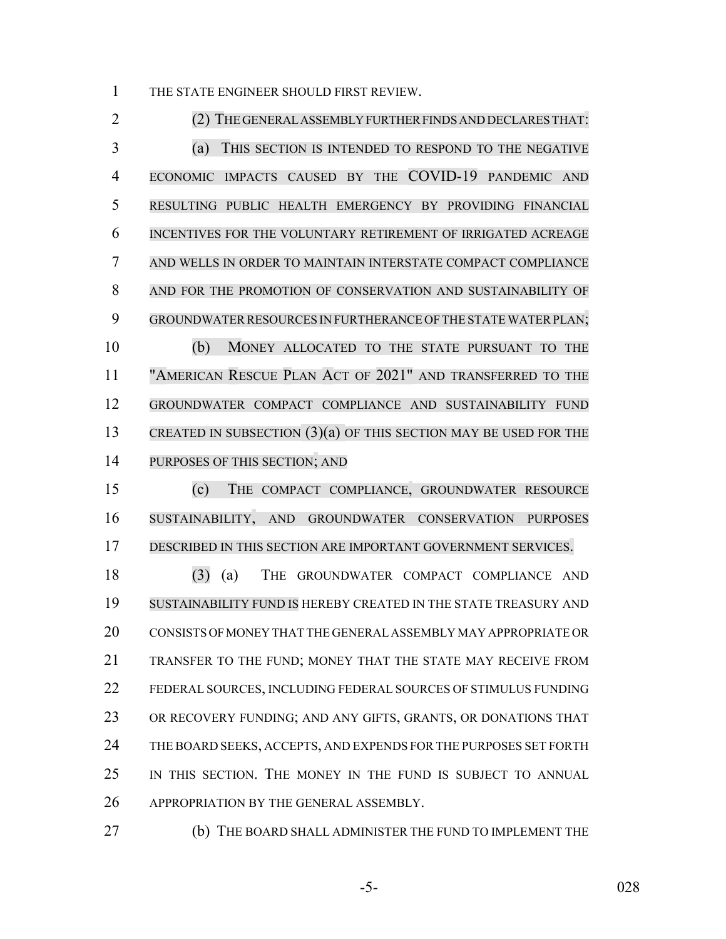THE STATE ENGINEER SHOULD FIRST REVIEW.

 (2) THE GENERAL ASSEMBLY FURTHER FINDS AND DECLARES THAT: (a) THIS SECTION IS INTENDED TO RESPOND TO THE NEGATIVE ECONOMIC IMPACTS CAUSED BY THE COVID-19 PANDEMIC AND RESULTING PUBLIC HEALTH EMERGENCY BY PROVIDING FINANCIAL INCENTIVES FOR THE VOLUNTARY RETIREMENT OF IRRIGATED ACREAGE AND WELLS IN ORDER TO MAINTAIN INTERSTATE COMPACT COMPLIANCE AND FOR THE PROMOTION OF CONSERVATION AND SUSTAINABILITY OF 9 GROUNDWATER RESOURCES IN FURTHERANCE OF THE STATE WATER PLAN; (b) MONEY ALLOCATED TO THE STATE PURSUANT TO THE "AMERICAN RESCUE PLAN ACT OF 2021" AND TRANSFERRED TO THE GROUNDWATER COMPACT COMPLIANCE AND SUSTAINABILITY FUND CREATED IN SUBSECTION (3)(a) OF THIS SECTION MAY BE USED FOR THE PURPOSES OF THIS SECTION; AND

 (c) THE COMPACT COMPLIANCE, GROUNDWATER RESOURCE SUSTAINABILITY, AND GROUNDWATER CONSERVATION PURPOSES DESCRIBED IN THIS SECTION ARE IMPORTANT GOVERNMENT SERVICES.

 (3) (a) THE GROUNDWATER COMPACT COMPLIANCE AND SUSTAINABILITY FUND IS HEREBY CREATED IN THE STATE TREASURY AND CONSISTS OF MONEY THAT THE GENERAL ASSEMBLY MAY APPROPRIATE OR TRANSFER TO THE FUND; MONEY THAT THE STATE MAY RECEIVE FROM FEDERAL SOURCES, INCLUDING FEDERAL SOURCES OF STIMULUS FUNDING OR RECOVERY FUNDING; AND ANY GIFTS, GRANTS, OR DONATIONS THAT THE BOARD SEEKS, ACCEPTS, AND EXPENDS FOR THE PURPOSES SET FORTH IN THIS SECTION. THE MONEY IN THE FUND IS SUBJECT TO ANNUAL APPROPRIATION BY THE GENERAL ASSEMBLY.

(b) THE BOARD SHALL ADMINISTER THE FUND TO IMPLEMENT THE

-5- 028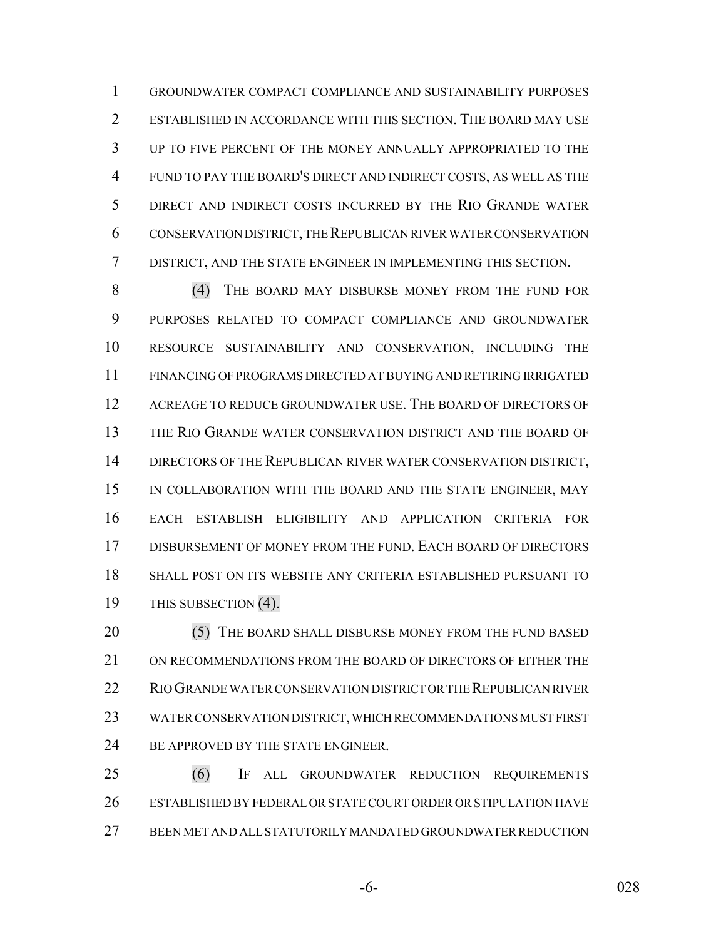GROUNDWATER COMPACT COMPLIANCE AND SUSTAINABILITY PURPOSES ESTABLISHED IN ACCORDANCE WITH THIS SECTION. THE BOARD MAY USE UP TO FIVE PERCENT OF THE MONEY ANNUALLY APPROPRIATED TO THE FUND TO PAY THE BOARD'S DIRECT AND INDIRECT COSTS, AS WELL AS THE DIRECT AND INDIRECT COSTS INCURRED BY THE RIO GRANDE WATER CONSERVATION DISTRICT, THE REPUBLICAN RIVER WATER CONSERVATION DISTRICT, AND THE STATE ENGINEER IN IMPLEMENTING THIS SECTION.

 (4) THE BOARD MAY DISBURSE MONEY FROM THE FUND FOR PURPOSES RELATED TO COMPACT COMPLIANCE AND GROUNDWATER RESOURCE SUSTAINABILITY AND CONSERVATION, INCLUDING THE FINANCING OF PROGRAMS DIRECTED AT BUYING AND RETIRING IRRIGATED 12 ACREAGE TO REDUCE GROUNDWATER USE. THE BOARD OF DIRECTORS OF THE RIO GRANDE WATER CONSERVATION DISTRICT AND THE BOARD OF DIRECTORS OF THE REPUBLICAN RIVER WATER CONSERVATION DISTRICT, 15 IN COLLABORATION WITH THE BOARD AND THE STATE ENGINEER, MAY EACH ESTABLISH ELIGIBILITY AND APPLICATION CRITERIA FOR DISBURSEMENT OF MONEY FROM THE FUND. EACH BOARD OF DIRECTORS SHALL POST ON ITS WEBSITE ANY CRITERIA ESTABLISHED PURSUANT TO THIS SUBSECTION (4).

20 (5) THE BOARD SHALL DISBURSE MONEY FROM THE FUND BASED ON RECOMMENDATIONS FROM THE BOARD OF DIRECTORS OF EITHER THE RIO GRANDE WATER CONSERVATION DISTRICT OR THE REPUBLICAN RIVER WATER CONSERVATION DISTRICT, WHICH RECOMMENDATIONS MUST FIRST 24 BE APPROVED BY THE STATE ENGINEER.

 (6) IF ALL GROUNDWATER REDUCTION REQUIREMENTS ESTABLISHED BY FEDERAL OR STATE COURT ORDER OR STIPULATION HAVE BEEN MET AND ALL STATUTORILY MANDATED GROUNDWATER REDUCTION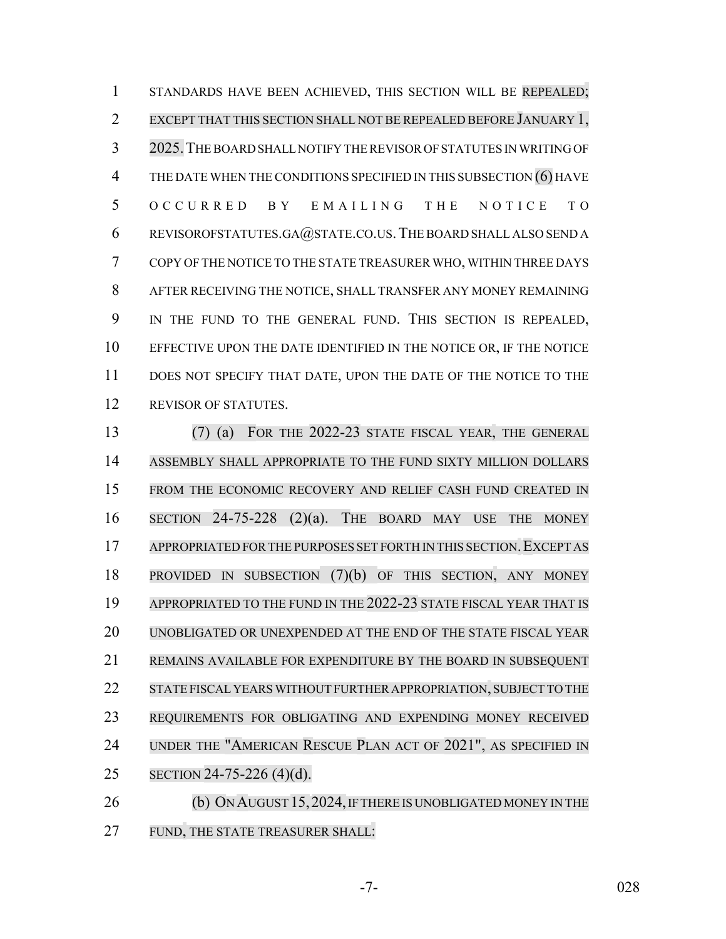STANDARDS HAVE BEEN ACHIEVED, THIS SECTION WILL BE REPEALED; EXCEPT THAT THIS SECTION SHALL NOT BE REPEALED BEFORE JANUARY 1, 2025.THE BOARD SHALL NOTIFY THE REVISOR OF STATUTES IN WRITING OF 4 THE DATE WHEN THE CONDITIONS SPECIFIED IN THIS SUBSECTION (6) HAVE OCCURRED BY EMAILING THE NOTICE TO REVISOROFSTATUTES.GA@STATE.CO.US.THE BOARD SHALL ALSO SEND A COPY OF THE NOTICE TO THE STATE TREASURER WHO, WITHIN THREE DAYS AFTER RECEIVING THE NOTICE, SHALL TRANSFER ANY MONEY REMAINING IN THE FUND TO THE GENERAL FUND. THIS SECTION IS REPEALED, EFFECTIVE UPON THE DATE IDENTIFIED IN THE NOTICE OR, IF THE NOTICE 11 DOES NOT SPECIFY THAT DATE, UPON THE DATE OF THE NOTICE TO THE 12 REVISOR OF STATUTES.

 (7) (a) FOR THE 2022-23 STATE FISCAL YEAR, THE GENERAL ASSEMBLY SHALL APPROPRIATE TO THE FUND SIXTY MILLION DOLLARS 15 FROM THE ECONOMIC RECOVERY AND RELIEF CASH FUND CREATED IN SECTION 24-75-228 (2)(a). THE BOARD MAY USE THE MONEY APPROPRIATED FORTHE PURPOSES SET FORTH IN THIS SECTION.EXCEPT AS PROVIDED IN SUBSECTION (7)(b) OF THIS SECTION, ANY MONEY 19 APPROPRIATED TO THE FUND IN THE 2022-23 STATE FISCAL YEAR THAT IS UNOBLIGATED OR UNEXPENDED AT THE END OF THE STATE FISCAL YEAR REMAINS AVAILABLE FOR EXPENDITURE BY THE BOARD IN SUBSEQUENT STATE FISCALYEARSWITHOUT FURTHER APPROPRIATION, SUBJECT TO THE REQUIREMENTS FOR OBLIGATING AND EXPENDING MONEY RECEIVED UNDER THE "AMERICAN RESCUE PLAN ACT OF 2021", AS SPECIFIED IN SECTION 24-75-226 (4)(d). 26 (b) ON AUGUST 15, 2024, IF THERE IS UNOBLIGATED MONEY IN THE

27 FUND, THE STATE TREASURER SHALL:

-7- 028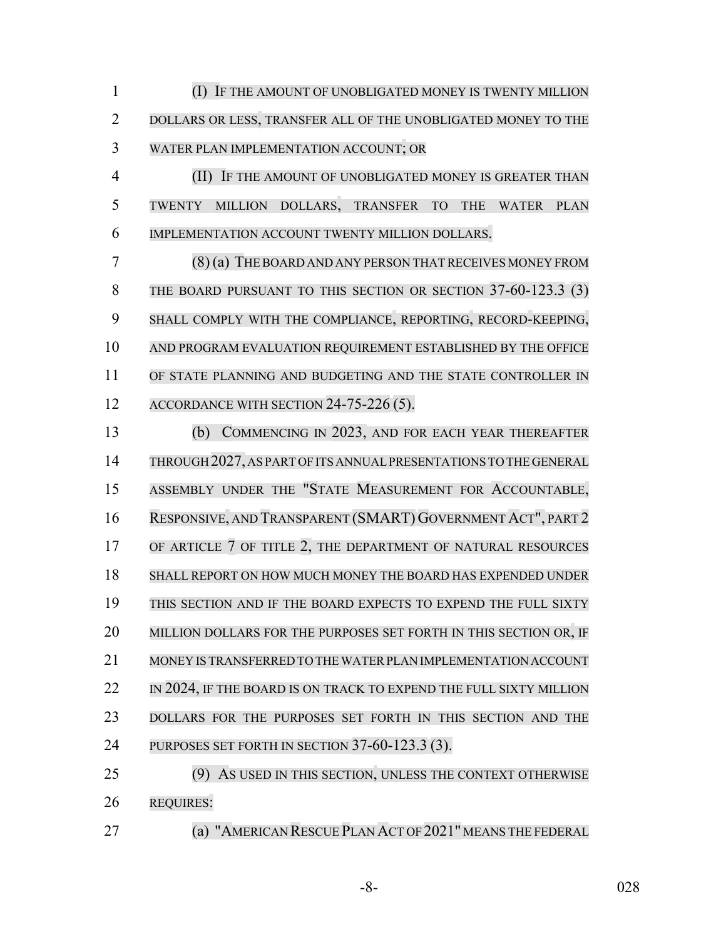(I) IF THE AMOUNT OF UNOBLIGATED MONEY IS TWENTY MILLION DOLLARS OR LESS, TRANSFER ALL OF THE UNOBLIGATED MONEY TO THE WATER PLAN IMPLEMENTATION ACCOUNT; OR

 (II) IF THE AMOUNT OF UNOBLIGATED MONEY IS GREATER THAN TWENTY MILLION DOLLARS, TRANSFER TO THE WATER PLAN IMPLEMENTATION ACCOUNT TWENTY MILLION DOLLARS.

 (8) (a) THEBOARD AND ANY PERSON THAT RECEIVES MONEY FROM 8 THE BOARD PURSUANT TO THIS SECTION OR SECTION 37-60-123.3 (3) SHALL COMPLY WITH THE COMPLIANCE, REPORTING, RECORD-KEEPING, AND PROGRAM EVALUATION REQUIREMENT ESTABLISHED BY THE OFFICE 11 OF STATE PLANNING AND BUDGETING AND THE STATE CONTROLLER IN 12 ACCORDANCE WITH SECTION 24-75-226 (5).

 (b) COMMENCING IN 2023, AND FOR EACH YEAR THEREAFTER 14 THROUGH 2027, AS PART OF ITS ANNUAL PRESENTATIONS TO THE GENERAL ASSEMBLY UNDER THE "STATE MEASUREMENT FOR ACCOUNTABLE, RESPONSIVE, AND TRANSPARENT (SMART) GOVERNMENT ACT", PART 2 17 OF ARTICLE 7 OF TITLE 2, THE DEPARTMENT OF NATURAL RESOURCES SHALL REPORT ON HOW MUCH MONEY THE BOARD HAS EXPENDED UNDER THIS SECTION AND IF THE BOARD EXPECTS TO EXPEND THE FULL SIXTY 20 MILLION DOLLARS FOR THE PURPOSES SET FORTH IN THIS SECTION OR, IF MONEY IS TRANSFERRED TO THE WATER PLAN IMPLEMENTATION ACCOUNT 22 IN 2024, IF THE BOARD IS ON TRACK TO EXPEND THE FULL SIXTY MILLION DOLLARS FOR THE PURPOSES SET FORTH IN THIS SECTION AND THE 24 PURPOSES SET FORTH IN SECTION 37-60-123.3 (3).

 (9) AS USED IN THIS SECTION, UNLESS THE CONTEXT OTHERWISE REQUIRES:

(a) "AMERICAN RESCUE PLAN ACT OF 2021" MEANS THE FEDERAL

-8- 028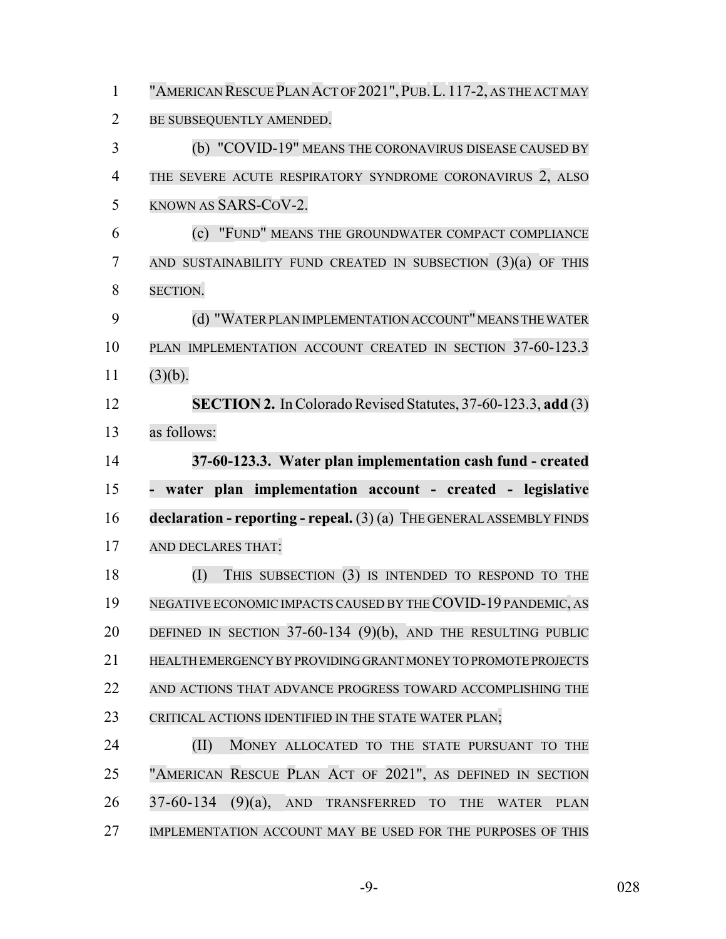| $\mathbf{1}$   | "AMERICAN RESCUE PLAN ACT OF 2021", PUB. L. 117-2, AS THE ACT MAY               |
|----------------|---------------------------------------------------------------------------------|
| $\overline{2}$ | BE SUBSEQUENTLY AMENDED.                                                        |
| 3              | (b) "COVID-19" MEANS THE CORONAVIRUS DISEASE CAUSED BY                          |
| $\overline{4}$ | THE SEVERE ACUTE RESPIRATORY SYNDROME CORONAVIRUS 2, ALSO                       |
| 5              | KNOWN AS SARS-COV-2.                                                            |
| 6              | (c) "FUND" MEANS THE GROUNDWATER COMPACT COMPLIANCE                             |
| 7              | AND SUSTAINABILITY FUND CREATED IN SUBSECTION $(3)(a)$ OF THIS                  |
| 8              | <b>SECTION.</b>                                                                 |
| 9              | (d) "WATER PLAN IMPLEMENTATION ACCOUNT" MEANS THE WATER                         |
| 10             | PLAN IMPLEMENTATION ACCOUNT CREATED IN SECTION 37-60-123.3                      |
| 11             | (3)(b).                                                                         |
| 12             | SECTION 2. In Colorado Revised Statutes, 37-60-123.3, add (3)                   |
| 13             | as follows:                                                                     |
| 14             | 37-60-123.3. Water plan implementation cash fund - created                      |
|                |                                                                                 |
| 15             | - water plan implementation account - created - legislative                     |
| 16             | $\alpha$ declaration - reporting - repeal. $(3)$ (a) THE GENERAL ASSEMBLY FINDS |
| 17             | AND DECLARES THAT:                                                              |
| 18             | THIS SUBSECTION (3) IS INTENDED TO RESPOND TO THE<br>(I)                        |
| 19             | NEGATIVE ECONOMIC IMPACTS CAUSED BY THE COVID-19 PANDEMIC, AS                   |
| 20             | DEFINED IN SECTION 37-60-134 (9)(b), AND THE RESULTING PUBLIC                   |
| 21             | HEALTH EMERGENCY BY PROVIDING GRANT MONEY TO PROMOTE PROJECTS                   |
| 22             | AND ACTIONS THAT ADVANCE PROGRESS TOWARD ACCOMPLISHING THE                      |
| 23             | CRITICAL ACTIONS IDENTIFIED IN THE STATE WATER PLAN;                            |
| 24             | (II)<br>MONEY ALLOCATED TO THE STATE PURSUANT TO THE                            |
| 25             | "AMERICAN RESCUE PLAN ACT OF 2021", AS DEFINED IN SECTION                       |
| 26             | $37-60-134$ (9)(a), AND TRANSFERRED TO<br>THE<br><b>WATER</b><br><b>PLAN</b>    |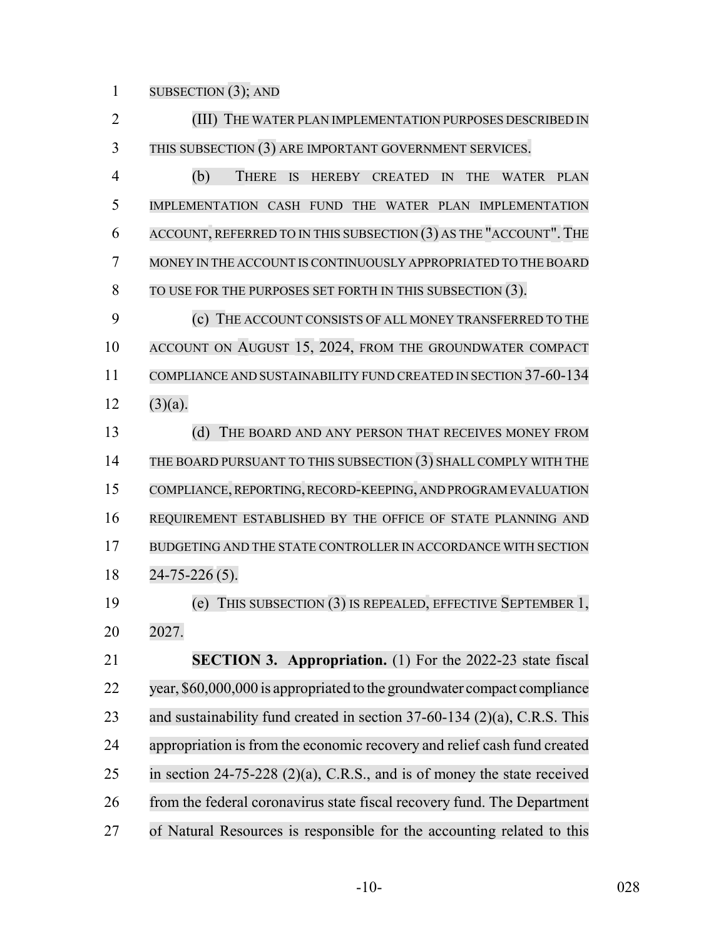SUBSECTION (3); AND

 (III) THE WATER PLAN IMPLEMENTATION PURPOSES DESCRIBED IN 3 THIS SUBSECTION (3) ARE IMPORTANT GOVERNMENT SERVICES.

 (b) THERE IS HEREBY CREATED IN THE WATER PLAN IMPLEMENTATION CASH FUND THE WATER PLAN IMPLEMENTATION ACCOUNT, REFERRED TO IN THIS SUBSECTION (3) AS THE "ACCOUNT". THE MONEY IN THE ACCOUNT IS CONTINUOUSLY APPROPRIATED TO THE BOARD TO USE FOR THE PURPOSES SET FORTH IN THIS SUBSECTION (3).

 (c) THE ACCOUNT CONSISTS OF ALL MONEY TRANSFERRED TO THE 10 ACCOUNT ON AUGUST 15, 2024, FROM THE GROUNDWATER COMPACT COMPLIANCE AND SUSTAINABILITY FUND CREATED IN SECTION 37-60-134 12  $(3)(a)$ .

13 (d) THE BOARD AND ANY PERSON THAT RECEIVES MONEY FROM THE BOARD PURSUANT TO THIS SUBSECTION (3) SHALL COMPLY WITH THE COMPLIANCE, REPORTING, RECORD-KEEPING, AND PROGRAMEVALUATION REQUIREMENT ESTABLISHED BY THE OFFICE OF STATE PLANNING AND BUDGETING AND THE STATE CONTROLLER IN ACCORDANCE WITH SECTION 24-75-226 (5).

 (e) THIS SUBSECTION (3) IS REPEALED, EFFECTIVE SEPTEMBER 1, 2027.

 **SECTION 3. Appropriation.** (1) For the 2022-23 state fiscal year, \$60,000,000 is appropriated to the groundwater compact compliance and sustainability fund created in section 37-60-134 (2)(a), C.R.S. This 24 appropriation is from the economic recovery and relief cash fund created in section 24-75-228 (2)(a), C.R.S., and is of money the state received from the federal coronavirus state fiscal recovery fund. The Department of Natural Resources is responsible for the accounting related to this